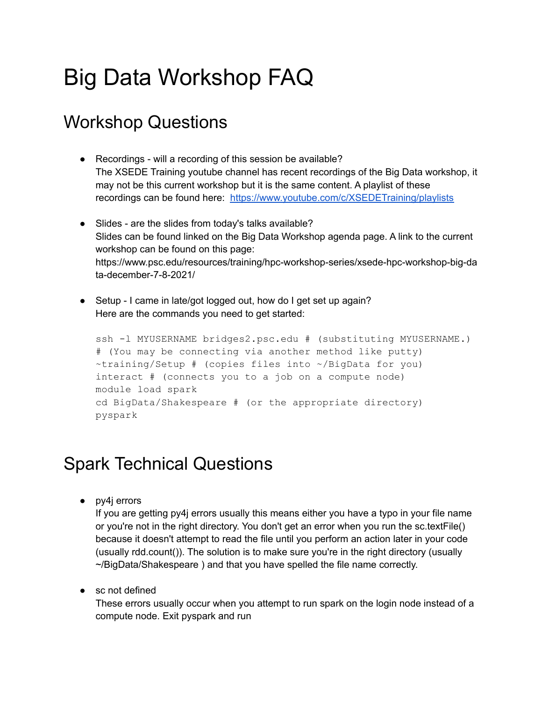## Big Data Workshop FAQ

## Workshop Questions

- Recordings will a recording of this session be available? The XSEDE Training youtube channel has recent recordings of the Big Data workshop, it may not be this current workshop but it is the same content. A playlist of these recordings can be found here: <https://www.youtube.com/c/XSEDETraining/playlists>
- Slides are the slides from today's talks available? Slides can be found linked on the Big Data Workshop agenda page. A link to the current workshop can be found on this page: https://www.psc.edu/resources/training/hpc-workshop-series/xsede-hpc-workshop-big-da ta-december-7-8-2021/
- Setup I came in late/got logged out, how do I get set up again? Here are the commands you need to get started:

```
ssh -l MYUSERNAME bridges2.psc.edu # (substituting MYUSERNAME.)
# (You may be connecting via another method like putty)
~training/Setup # (copies files into ~/BigData for you)
interact # (connects you to a job on a compute node)
module load spark
cd BigData/Shakespeare # (or the appropriate directory)
pyspark
```
## Spark Technical Questions

● py4j errors

If you are getting py4j errors usually this means either you have a typo in your file name or you're not in the right directory. You don't get an error when you run the sc.textFile() because it doesn't attempt to read the file until you perform an action later in your code (usually rdd.count()). The solution is to make sure you're in the right directory (usually ~/BigData/Shakespeare ) and that you have spelled the file name correctly.

• sc not defined

These errors usually occur when you attempt to run spark on the login node instead of a compute node. Exit pyspark and run